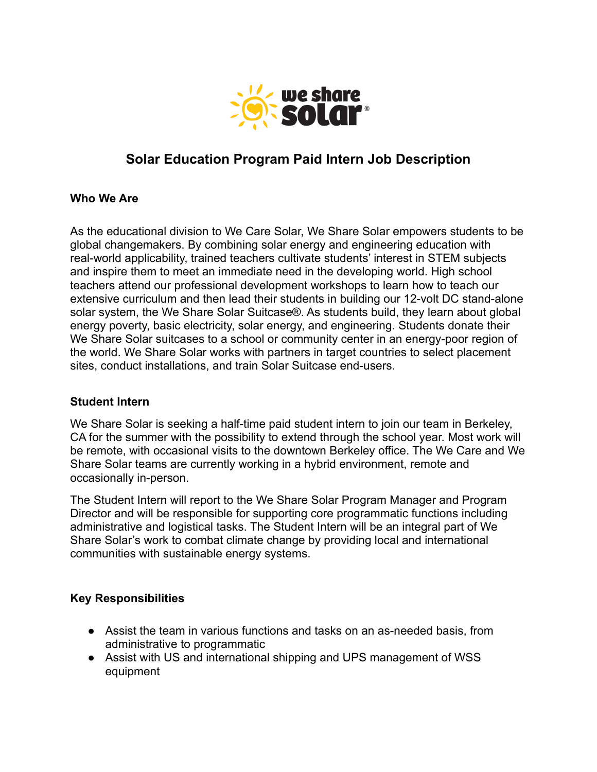

# **Solar Education Program Paid Intern Job Description**

#### **Who We Are**

As the educational division to We Care Solar, We Share Solar empowers students to be global changemakers. By combining solar energy and engineering education with real-world applicability, trained teachers cultivate students' interest in STEM subjects and inspire them to meet an immediate need in the developing world. High school teachers attend our professional development workshops to learn how to teach our extensive curriculum and then lead their students in building our 12-volt DC stand-alone solar system, the We Share Solar Suitcase®. As students build, they learn about global energy poverty, basic electricity, solar energy, and engineering. Students donate their We Share Solar suitcases to a school or community center in an energy-poor region of the world. We Share Solar works with partners in target countries to select placement sites, conduct installations, and train Solar Suitcase end-users.

#### **Student Intern**

We Share Solar is seeking a half-time paid student intern to join our team in Berkeley, CA for the summer with the possibility to extend through the school year. Most work will be remote, with occasional visits to the downtown Berkeley office. The We Care and We Share Solar teams are currently working in a hybrid environment, remote and occasionally in-person.

The Student Intern will report to the We Share Solar Program Manager and Program Director and will be responsible for supporting core programmatic functions including administrative and logistical tasks. The Student Intern will be an integral part of We Share Solar's work to combat climate change by providing local and international communities with sustainable energy systems.

# **Key Responsibilities**

- Assist the team in various functions and tasks on an as-needed basis, from administrative to programmatic
- Assist with US and international shipping and UPS management of WSS equipment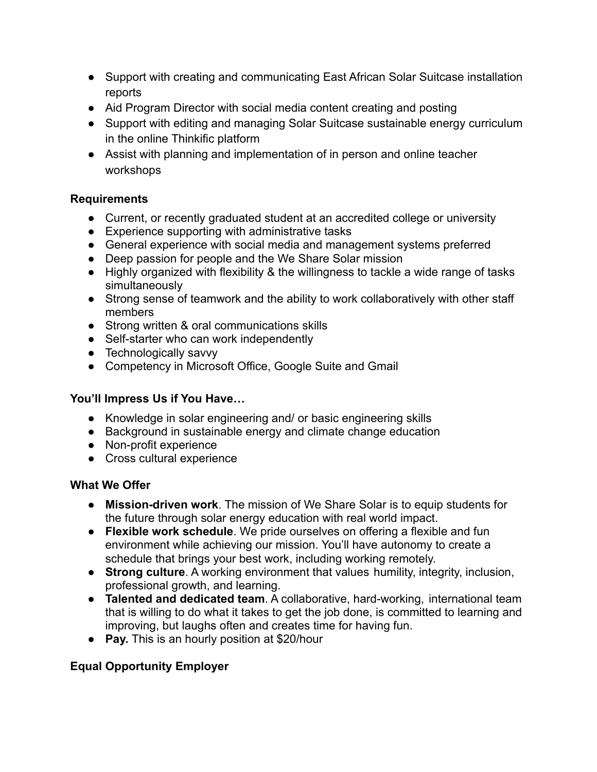- Support with creating and communicating East African Solar Suitcase installation reports
- Aid Program Director with social media content creating and posting
- Support with editing and managing Solar Suitcase sustainable energy curriculum in the online Thinkific platform
- Assist with planning and implementation of in person and online teacher workshops

# **Requirements**

- Current, or recently graduated student at an accredited college or university
- Experience supporting with administrative tasks
- General experience with social media and management systems preferred
- Deep passion for people and the We Share Solar mission
- Highly organized with flexibility & the willingness to tackle a wide range of tasks simultaneously
- Strong sense of teamwork and the ability to work collaboratively with other staff members
- Strong written & oral communications skills
- Self-starter who can work independently
- Technologically savvy
- Competency in Microsoft Office, Google Suite and Gmail

# **You'll Impress Us if You Have…**

- Knowledge in solar engineering and/ or basic engineering skills
- Background in sustainable energy and climate change education
- Non-profit experience
- Cross cultural experience

# **What We Offer**

- **Mission-driven work**. The mission of We Share Solar is to equip students for the future through solar energy education with real world impact.
- **Flexible work schedule**. We pride ourselves on offering a flexible and fun environment while achieving our mission. You'll have autonomy to create a schedule that brings your best work, including working remotely.
- **Strong culture**. A working environment that values humility, integrity, inclusion, professional growth, and learning.
- **Talented and dedicated team**. A collaborative, hard-working, international team that is willing to do what it takes to get the job done, is committed to learning and improving, but laughs often and creates time for having fun.
- **Pay.** This is an hourly position at \$20/hour

# **Equal Opportunity Employer**